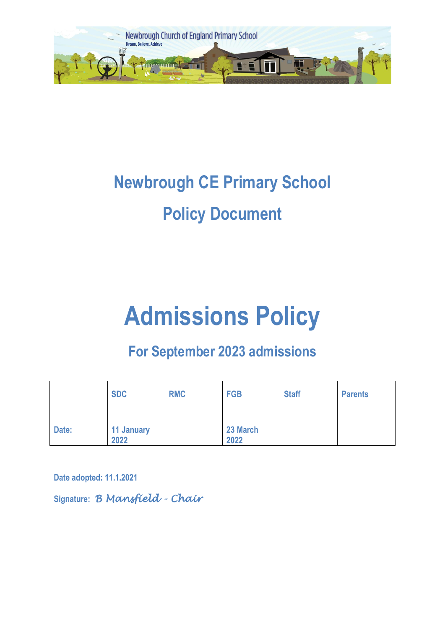

## **Newbrough CE Primary School Policy Document**

# **Admissions Policy**

### **For September 2023 admissions**

|       | <b>SDC</b>                | <b>RMC</b> | <b>FGB</b>       | <b>Staff</b> | <b>Parents</b> |
|-------|---------------------------|------------|------------------|--------------|----------------|
| Date: | <b>11 January</b><br>2022 |            | 23 March<br>2022 |              |                |

**Date adopted: 11.1.2021**

**Signature:** *B Mansfield - Chair*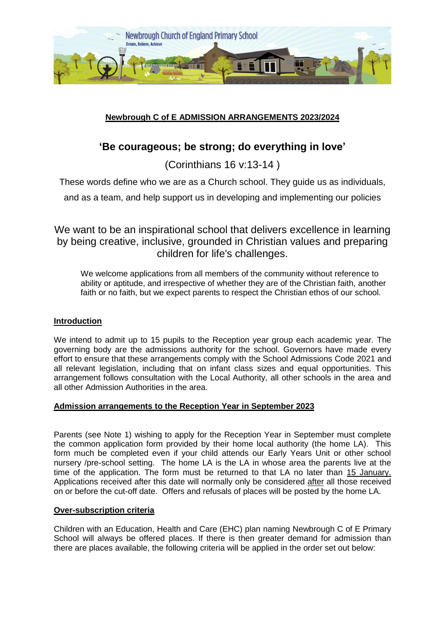

#### **Newbrough C of E ADMISSION ARRANGEMENTS 2023/2024**

#### **'Be courageous; be strong; do everything in love'**

(Corinthians 16 v:13-14 )

These words define who we are as a Church school. They guide us as individuals,

and as a team, and help support us in developing and implementing our policies

We want to be an inspirational school that delivers excellence in learning by being creative, inclusive, grounded in Christian values and preparing children for life's challenges.

We welcome applications from all members of the community without reference to ability or aptitude, and irrespective of whether they are of the Christian faith, another faith or no faith, but we expect parents to respect the Christian ethos of our school.

#### **Introduction**

We intend to admit up to 15 pupils to the Reception year group each academic year*.* The governing body are the admissions authority for the school. Governors have made every effort to ensure that these arrangements comply with the School Admissions Code 2021 and all relevant legislation, including that on infant class sizes and equal opportunities. This arrangement follows consultation with the Local Authority, all other schools in the area and all other Admission Authorities in the area.

#### **Admission arrangements to the Reception Year in September 2023**

Parents (see Note 1) wishing to apply for the Reception Year in September must complete the common application form provided by their home local authority (the home LA). This form much be completed even if your child attends our Early Years Unit or other school nursery /pre-school setting. The home LA is the LA in whose area the parents live at the time of the application. The form must be returned to that LA no later than 15 January. Applications received after this date will normally only be considered after all those received on or before the cut-off date. Offers and refusals of places will be posted by the home LA.

#### **Over-subscription criteria**

Children with an Education, Health and Care (EHC) plan naming Newbrough C of E Primary School will always be offered places. If there is then greater demand for admission than there are places available, the following criteria will be applied in the order set out below: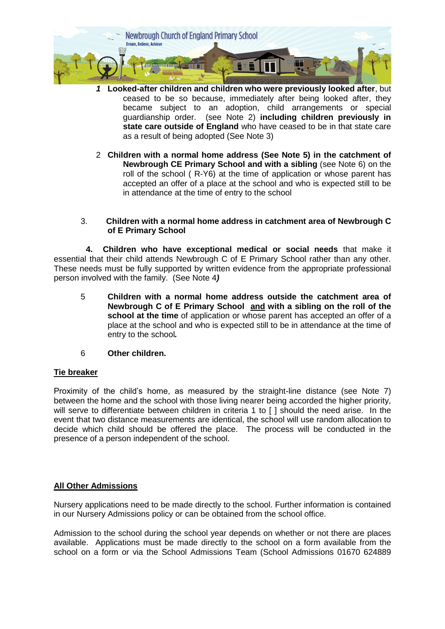

- *1* **Looked-after children and children who were previously looked after**, but ceased to be so because, immediately after being looked after, they became subject to an adoption, child arrangements or special guardianship order. (see Note 2) **including children previously in state care outside of England** who have ceased to be in that state care as a result of being adopted (See Note 3)
- 2 **Children with a normal home address (See Note 5) in the catchment of Newbrough CE Primary School and with a sibling** (see Note 6) on the roll of the school ( R-Y6) at the time of application or whose parent has accepted an offer of a place at the school and who is expected still to be in attendance at the time of entry to the school

#### 3. **Children with a normal home address in catchment area of Newbrough C of E Primary School**

 **4. Children who have exceptional medical or social needs** that make it essential that their child attends Newbrough C of E Primary School rather than any other. These needs must be fully supported by written evidence from the appropriate professional person involved with the family. (See Note 4*)* 

- 5 **Children with a normal home address outside the catchment area of Newbrough C of E Primary School and with a sibling on the roll of the school at the time** of application or whose parent has accepted an offer of a place at the school and who is expected still to be in attendance at the time of entry to the school*.*
- 6 **Other children.**

#### **Tie breaker**

Proximity of the child's home, as measured by the straight-line distance (see Note 7) between the home and the school with those living nearer being accorded the higher priority, will serve to differentiate between children in criteria 1 to [] should the need arise. In the event that two distance measurements are identical, the school will use random allocation to decide which child should be offered the place. The process will be conducted in the presence of a person independent of the school.

#### **All Other Admissions**

Nursery applications need to be made directly to the school. Further information is contained in our Nursery Admissions policy or can be obtained from the school office.

Admission to the school during the school year depends on whether or not there are places available. Applications must be made directly to the school on a form available from the school on a form or via the School Admissions Team (School Admissions 01670 624889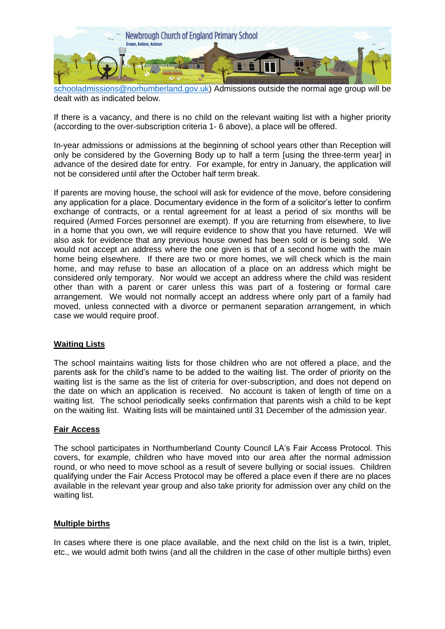

[schooladmissions@norhumberland.gov.uk\)](mailto:schooladmissions@norhumberland.gov.uk) Admissions outside the normal age group will be dealt with as indicated below.

If there is a vacancy, and there is no child on the relevant waiting list with a higher priority (according to the over-subscription criteria 1- 6 above), a place will be offered.

In-year admissions or admissions at the beginning of school years other than Reception will only be considered by the Governing Body up to half a term [using the three-term year] in advance of the desired date for entry. For example, for entry in January, the application will not be considered until after the October half term break.

If parents are moving house, the school will ask for evidence of the move, before considering any application for a place. Documentary evidence in the form of a solicitor's letter to confirm exchange of contracts, or a rental agreement for at least a period of six months will be required (Armed Forces personnel are exempt). If you are returning from elsewhere, to live in a home that you own, we will require evidence to show that you have returned. We will also ask for evidence that any previous house owned has been sold or is being sold. We would not accept an address where the one given is that of a second home with the main home being elsewhere. If there are two or more homes, we will check which is the main home, and may refuse to base an allocation of a place on an address which might be considered only temporary. Nor would we accept an address where the child was resident other than with a parent or carer unless this was part of a fostering or formal care arrangement. We would not normally accept an address where only part of a family had moved, unless connected with a divorce or permanent separation arrangement, in which case we would require proof.

#### **Waiting Lists**

The school maintains waiting lists for those children who are not offered a place, and the parents ask for the child's name to be added to the waiting list. The order of priority on the waiting list is the same as the list of criteria for over-subscription, and does not depend on the date on which an application is received. No account is taken of length of time on a waiting list. The school periodically seeks confirmation that parents wish a child to be kept on the waiting list. Waiting lists will be maintained until 31 December of the admission year.

#### **Fair Access**

The school participates in Northumberland County Council LA's Fair Access Protocol. This covers, for example, children who have moved into our area after the normal admission round, or who need to move school as a result of severe bullying or social issues. Children qualifying under the Fair Access Protocol may be offered a place even if there are no places available in the relevant year group and also take priority for admission over any child on the waiting list.

#### **Multiple births**

In cases where there is one place available, and the next child on the list is a twin, triplet, etc., we would admit both twins (and all the children in the case of other multiple births) even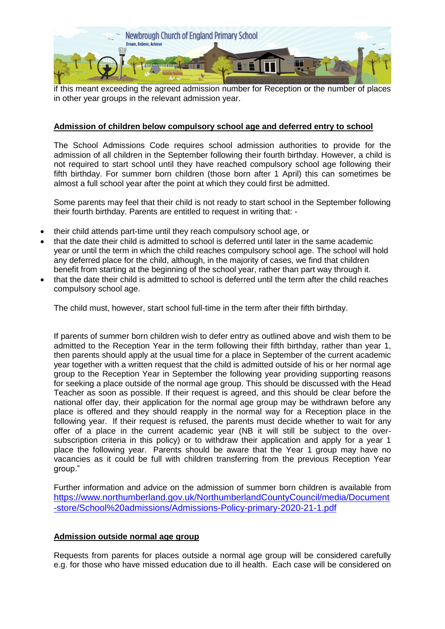

if this meant exceeding the agreed admission number for Reception or the number of places in other year groups in the relevant admission year.

#### **Admission of children below compulsory school age and deferred entry to school**

The School Admissions Code requires school admission authorities to provide for the admission of all children in the September following their fourth birthday. However, a child is not required to start school until they have reached compulsory school age following their fifth birthday. For summer born children (those born after 1 April) this can sometimes be almost a full school year after the point at which they could first be admitted.

Some parents may feel that their child is not ready to start school in the September following their fourth birthday. Parents are entitled to request in writing that: -

- their child attends part-time until they reach compulsory school age, or
- that the date their child is admitted to school is deferred until later in the same academic year or until the term in which the child reaches compulsory school age. The school will hold any deferred place for the child, although, in the majority of cases, we find that children benefit from starting at the beginning of the school year, rather than part way through it.
- that the date their child is admitted to school is deferred until the term after the child reaches compulsory school age.

The child must, however, start school full-time in the term after their fifth birthday.

If parents of summer born children wish to defer entry as outlined above and wish them to be admitted to the Reception Year in the term following their fifth birthday, rather than year 1, then parents should apply at the usual time for a place in September of the current academic year together with a written request that the child is admitted outside of his or her normal age group to the Reception Year in September the following year providing supporting reasons for seeking a place outside of the normal age group. This should be discussed with the Head Teacher as soon as possible. If their request is agreed, and this should be clear before the national offer day, their application for the normal age group may be withdrawn before any place is offered and they should reapply in the normal way for a Reception place in the following year. If their request is refused, the parents must decide whether to wait for any offer of a place in the current academic year (NB it will still be subject to the oversubscription criteria in this policy) or to withdraw their application and apply for a year 1 place the following year. Parents should be aware that the Year 1 group may have no vacancies as it could be full with children transferring from the previous Reception Year group."

Further information and advice on the admission of summer born children is available from [https://www.northumberland.gov.uk/NorthumberlandCountyCouncil/media/Document](https://www.northumberland.gov.uk/NorthumberlandCountyCouncil/media/Document-store/School%20admissions/Admissions-Policy-primary-2020-21-1.pdf) [-store/School%20admissions/Admissions-Policy-primary-2020-21-1.pdf](https://www.northumberland.gov.uk/NorthumberlandCountyCouncil/media/Document-store/School%20admissions/Admissions-Policy-primary-2020-21-1.pdf)

#### **Admission outside normal age group**

Requests from parents for places outside a normal age group will be considered carefully e.g. for those who have missed education due to ill health. Each case will be considered on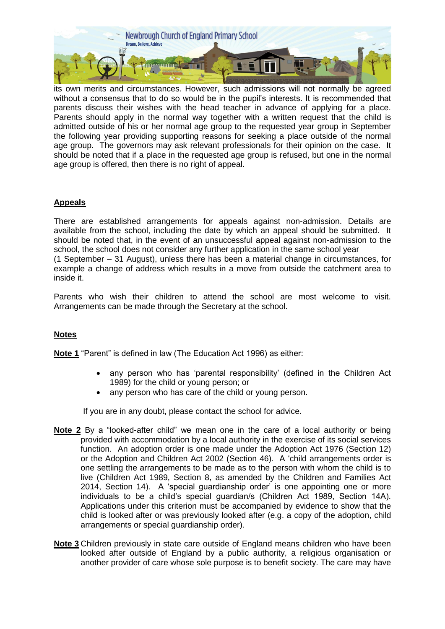

its own merits and circumstances. However, such admissions will not normally be agreed without a consensus that to do so would be in the pupil's interests. It is recommended that parents discuss their wishes with the head teacher in advance of applying for a place. Parents should apply in the normal way together with a written request that the child is admitted outside of his or her normal age group to the requested year group in September the following year providing supporting reasons for seeking a place outside of the normal age group. The governors may ask relevant professionals for their opinion on the case. It should be noted that if a place in the requested age group is refused, but one in the normal age group is offered, then there is no right of appeal.

#### **Appeals**

There are established arrangements for appeals against non-admission. Details are available from the school, including the date by which an appeal should be submitted. It should be noted that, in the event of an unsuccessful appeal against non-admission to the school, the school does not consider any further application in the same school year (1 September – 31 August), unless there has been a material change in circumstances, for example a change of address which results in a move from outside the catchment area to inside it.

Parents who wish their children to attend the school are most welcome to visit. Arrangements can be made through the Secretary at the school.

#### **Notes**

**Note 1** "Parent" is defined in law (The Education Act 1996) as either:

- any person who has 'parental responsibility' (defined in the Children Act 1989) for the child or young person; or
- any person who has care of the child or young person.

If you are in any doubt, please contact the school for advice.

- **Note 2** By a "looked-after child" we mean one in the care of a local authority or being provided with accommodation by a local authority in the exercise of its social services function. An adoption order is one made under the Adoption Act 1976 (Section 12) or the Adoption and Children Act 2002 (Section 46). A 'child arrangements order is one settling the arrangements to be made as to the person with whom the child is to live (Children Act 1989, Section 8, as amended by the Children and Families Act 2014, Section 14). A 'special guardianship order' is one appointing one or more individuals to be a child's special guardian/s (Children Act 1989, Section 14A). Applications under this criterion must be accompanied by evidence to show that the child is looked after or was previously looked after (e.g. a copy of the adoption, child arrangements or special guardianship order).
- **Note 3** Children previously in state care outside of England means children who have been looked after outside of England by a public authority, a religious organisation or another provider of care whose sole purpose is to benefit society. The care may have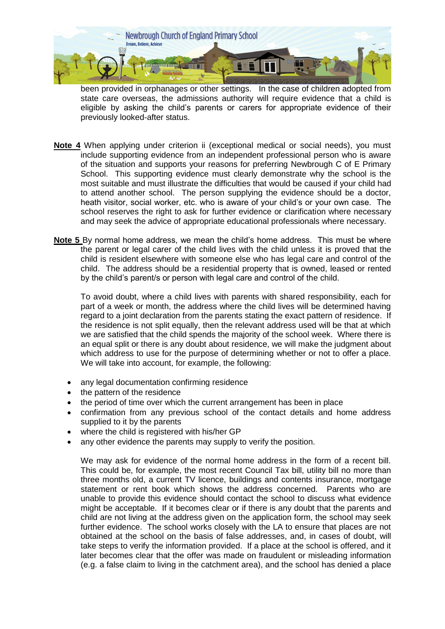

been provided in orphanages or other settings. In the case of children adopted from state care overseas, the admissions authority will require evidence that a child is eligible by asking the child's parents or carers for appropriate evidence of their previously looked-after status.

- **Note 4** When applying under criterion ii (exceptional medical or social needs), you must include supporting evidence from an independent professional person who is aware of the situation and supports your reasons for preferring Newbrough C of E Primary School. This supporting evidence must clearly demonstrate why the school is the most suitable and must illustrate the difficulties that would be caused if your child had to attend another school. The person supplying the evidence should be a doctor, heath visitor, social worker, etc. who is aware of your child's or your own case. The school reserves the right to ask for further evidence or clarification where necessary and may seek the advice of appropriate educational professionals where necessary.
- **Note 5** By normal home address, we mean the child's home address. This must be where the parent or legal carer of the child lives with the child unless it is proved that the child is resident elsewhere with someone else who has legal care and control of the child. The address should be a residential property that is owned, leased or rented by the child's parent/s or person with legal care and control of the child.

To avoid doubt, where a child lives with parents with shared responsibility, each for part of a week or month, the address where the child lives will be determined having regard to a joint declaration from the parents stating the exact pattern of residence. If the residence is not split equally, then the relevant address used will be that at which we are satisfied that the child spends the majority of the school week. Where there is an equal split or there is any doubt about residence, we will make the judgment about which address to use for the purpose of determining whether or not to offer a place. We will take into account, for example, the following:

- any legal documentation confirming residence
- the pattern of the residence
- the period of time over which the current arrangement has been in place
- confirmation from any previous school of the contact details and home address supplied to it by the parents
- where the child is registered with his/her GP
- any other evidence the parents may supply to verify the position.

We may ask for evidence of the normal home address in the form of a recent bill. This could be, for example, the most recent Council Tax bill, utility bill no more than three months old, a current TV licence, buildings and contents insurance, mortgage statement or rent book which shows the address concerned. Parents who are unable to provide this evidence should contact the school to discuss what evidence might be acceptable. If it becomes clear or if there is any doubt that the parents and child are not living at the address given on the application form, the school may seek further evidence. The school works closely with the LA to ensure that places are not obtained at the school on the basis of false addresses, and, in cases of doubt, will take steps to verify the information provided. If a place at the school is offered, and it later becomes clear that the offer was made on fraudulent or misleading information (e.g. a false claim to living in the catchment area), and the school has denied a place